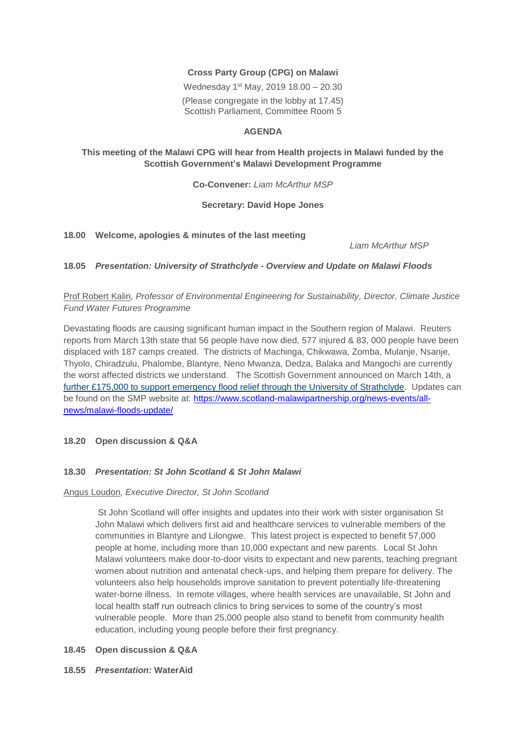# **Cross Party Group (CPG) on Malawi**

Wednesday 1<sup>st</sup> May, 2019 18.00 - 20.30 (Please congregate in the lobby at 17.45) Scottish Parliament, Committee Room 5

## **AGENDA**

## **This meeting of the Malawi CPG will hear from Health projects in Malawi funded by the Scottish Government's Malawi Development Programme**

**Co-Convener:** *Liam McArthur MSP*

### **Secretary: David Hope Jones**

**18.00 Welcome, apologies & minutes of the last meeting**

*Liam McArthur MSP*

### **18.05** *Presentation: University of Strathclyde - Overview and Update on Malawi Floods*

# Prof Robert Kalin*, Professor of Environmental Engineering for Sustainability, Director, Climate Justice Fund Water Futures Programme*

Devastating floods are causing significant human impact in the Southern region of Malawi. Reuters reports from March 13th state that 56 people have now died, 577 injured & 83, 000 people have been displaced with 187 camps created. The districts of Machinga, Chikwawa, Zomba, Mulanje, Nsanje, Thyolo, Chiradzulu, Phalombe, Blantyre, Neno Mwanza, Dedza, Balaka and Mangochi are currently the worst affected districts we understand. The Scottish Government announced on March 14th, a [further £175,000 to support emergency flood relief through the University of Strathclyde.](https://news.gov.scot/news/malawi-flooding-crisis) Updates can be found on the SMP website at: [https://www.scotland-malawipartnership.org/news-events/all](https://www.scotland-malawipartnership.org/news-events/all-news/malawi-floods-update/)[news/malawi-floods-update/](https://www.scotland-malawipartnership.org/news-events/all-news/malawi-floods-update/)

## **18.20 Open discussion & Q&A**

## **18.30** *Presentation: St John Scotland & St John Malawi*

## Angus Loudon*, Executive Director, St John Scotland*

St John Scotland will offer insights and updates into their work with sister organisation St John Malawi which delivers first aid and healthcare services to vulnerable members of the communities in Blantyre and Lilongwe. This latest project is expected to benefit 57,000 people at home, including more than 10,000 expectant and new parents. Local St John Malawi volunteers make door-to-door visits to expectant and new parents, teaching pregnant women about nutrition and antenatal check-ups, and helping them prepare for delivery. The volunteers also help households improve sanitation to prevent potentially life-threatening water-borne illness. In remote villages, where health services are unavailable, St John and local health staff run outreach clinics to bring services to some of the country's most vulnerable people. More than 25,000 people also stand to benefit from community health education, including young people before their first pregnancy.

#### **18.45 Open discussion & Q&A**

**18.55** *Presentation:* **WaterAid**